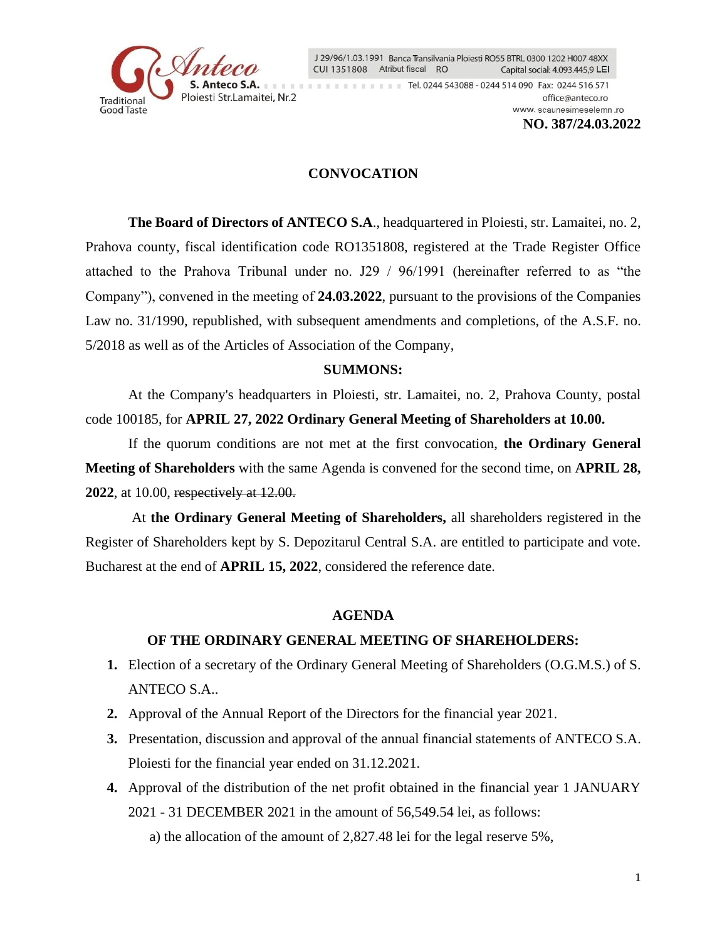

J 29/96/1.03.1991 Banca Transilvania Ploiesti RO55 BTRL 0300 1202 H007 48XX CUI 1351808 Atribut fiscal RO Capital social: 4.093.445,9 LEI

Tel. 0244 543088 - 0244 514 090 Fax: 0244 516 571 office@anteco.ro www.scaunesimeselemn.ro

**NO. 387/24.03.2022**

## **CONVOCATION**

**The Board of Directors of ANTECO S.A**., headquartered in Ploiesti, str. Lamaitei, no. 2, Prahova county, fiscal identification code RO1351808, registered at the Trade Register Office attached to the Prahova Tribunal under no. J29 / 96/1991 (hereinafter referred to as "the Company"), convened in the meeting of **24.03.2022**, pursuant to the provisions of the Companies Law no. 31/1990, republished, with subsequent amendments and completions, of the A.S.F. no. 5/2018 as well as of the Articles of Association of the Company,

### **SUMMONS:**

At the Company's headquarters in Ploiesti, str. Lamaitei, no. 2, Prahova County, postal code 100185, for **APRIL 27, 2022 Ordinary General Meeting of Shareholders at 10.00.**

If the quorum conditions are not met at the first convocation, **the Ordinary General Meeting of Shareholders** with the same Agenda is convened for the second time, on **APRIL 28, 2022**, at 10.00, respectively at 12.00.

 At **the Ordinary General Meeting of Shareholders,** all shareholders registered in the Register of Shareholders kept by S. Depozitarul Central S.A. are entitled to participate and vote. Bucharest at the end of **APRIL 15, 2022**, considered the reference date.

#### **AGENDA**

### **OF THE ORDINARY GENERAL MEETING OF SHAREHOLDERS:**

- **1.** Election of a secretary of the Ordinary General Meeting of Shareholders (O.G.M.S.) of S. ANTECO S.A..
- **2.** Approval of the Annual Report of the Directors for the financial year 2021.
- **3.** Presentation, discussion and approval of the annual financial statements of ANTECO S.A. Ploiesti for the financial year ended on 31.12.2021.
- **4.** Approval of the distribution of the net profit obtained in the financial year 1 JANUARY 2021 - 31 DECEMBER 2021 in the amount of 56,549.54 lei, as follows: a) the allocation of the amount of 2,827.48 lei for the legal reserve 5%,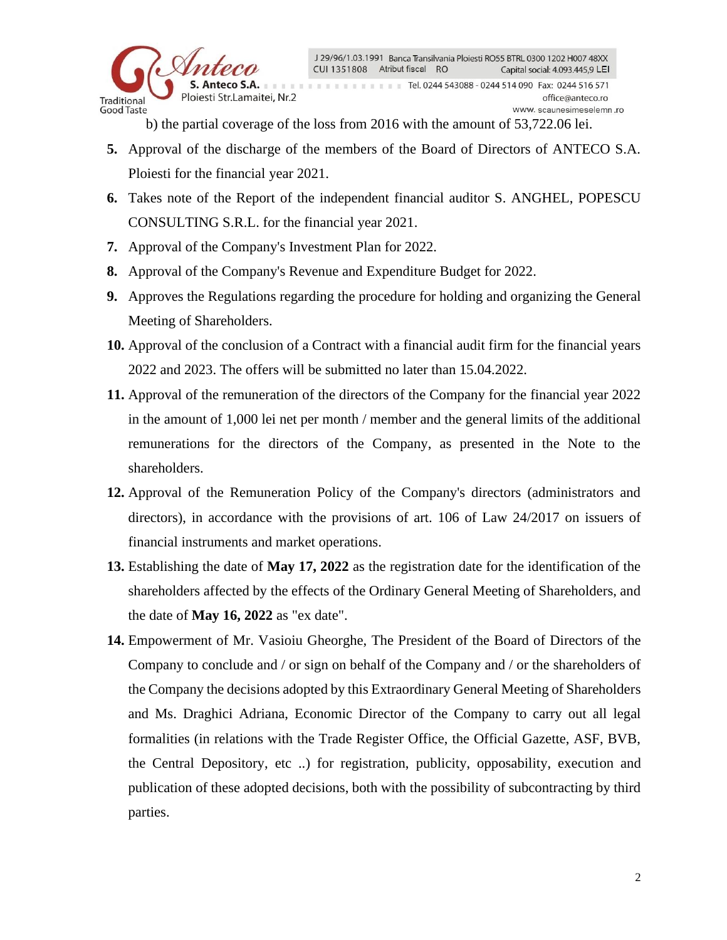

b) the partial coverage of the loss from 2016 with the amount of 53,722.06 lei.

- **5.** Approval of the discharge of the members of the Board of Directors of ANTECO S.A. Ploiesti for the financial year 2021.
- **6.** Takes note of the Report of the independent financial auditor S. ANGHEL, POPESCU CONSULTING S.R.L. for the financial year 2021.
- **7.** Approval of the Company's Investment Plan for 2022.
- **8.** Approval of the Company's Revenue and Expenditure Budget for 2022.
- **9.** Approves the Regulations regarding the procedure for holding and organizing the General Meeting of Shareholders.
- **10.** Approval of the conclusion of a Contract with a financial audit firm for the financial years 2022 and 2023. The offers will be submitted no later than 15.04.2022.
- **11.** Approval of the remuneration of the directors of the Company for the financial year 2022 in the amount of 1,000 lei net per month / member and the general limits of the additional remunerations for the directors of the Company, as presented in the Note to the shareholders.
- **12.** Approval of the Remuneration Policy of the Company's directors (administrators and directors), in accordance with the provisions of art. 106 of Law 24/2017 on issuers of financial instruments and market operations.
- **13.** Establishing the date of **May 17, 2022** as the registration date for the identification of the shareholders affected by the effects of the Ordinary General Meeting of Shareholders, and the date of **May 16, 2022** as "ex date".
- **14.** Empowerment of Mr. Vasioiu Gheorghe, The President of the Board of Directors of the Company to conclude and / or sign on behalf of the Company and / or the shareholders of the Company the decisions adopted by this Extraordinary General Meeting of Shareholders and Ms. Draghici Adriana, Economic Director of the Company to carry out all legal formalities (in relations with the Trade Register Office, the Official Gazette, ASF, BVB, the Central Depository, etc ..) for registration, publicity, opposability, execution and publication of these adopted decisions, both with the possibility of subcontracting by third parties.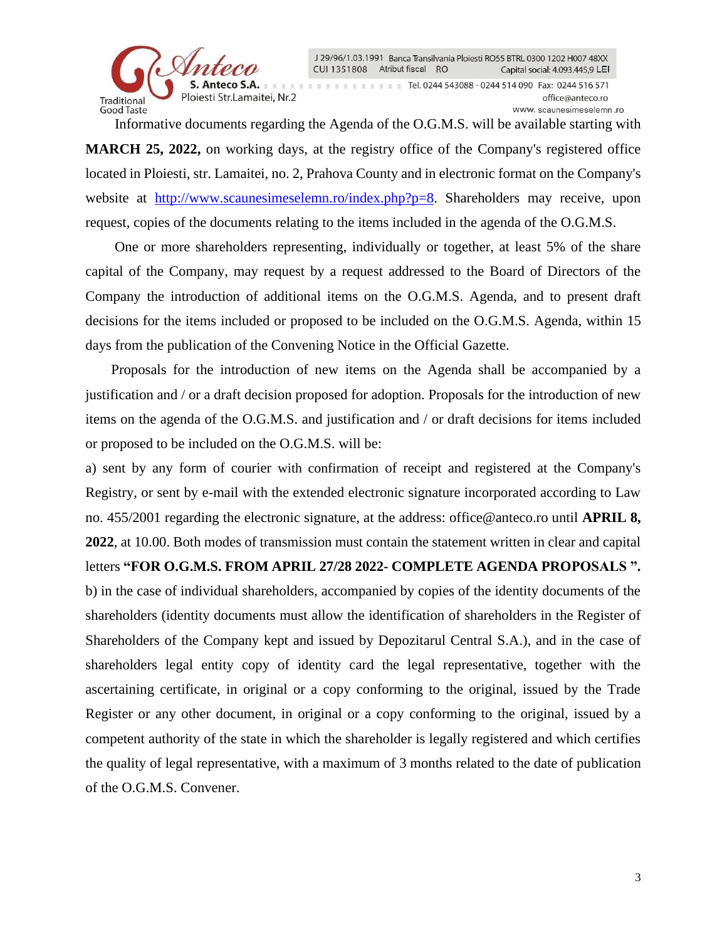

J 29/96/1.03.1991 Banca Transilvania Ploiesti RO55 BTRL 0300 1202 H007 48XX CUI 1351808 Atribut fiscal RO Capital social: 4.093.445,9 LEI Tel. 0244 543088 - 0244 514 090 Fax: 0244 516 571 office@anteco.ro www.scaunesimeselemn.ro

Informative documents regarding the Agenda of the O.G.M.S. will be available starting with

**MARCH 25, 2022,** on working days, at the registry office of the Company's registered office located in Ploiesti, str. Lamaitei, no. 2, Prahova County and in electronic format on the Company's website at [http://www.scaunesimeselemn.ro/index.php?p=8.](http://www.scaunesimeselemn.ro/index.php?p=8) Shareholders may receive, upon request, copies of the documents relating to the items included in the agenda of the O.G.M.S.

One or more shareholders representing, individually or together, at least 5% of the share capital of the Company, may request by a request addressed to the Board of Directors of the Company the introduction of additional items on the O.G.M.S. Agenda, and to present draft decisions for the items included or proposed to be included on the O.G.M.S. Agenda, within 15 days from the publication of the Convening Notice in the Official Gazette.

Proposals for the introduction of new items on the Agenda shall be accompanied by a justification and / or a draft decision proposed for adoption. Proposals for the introduction of new items on the agenda of the O.G.M.S. and justification and / or draft decisions for items included or proposed to be included on the O.G.M.S. will be:

a) sent by any form of courier with confirmation of receipt and registered at the Company's Registry, or sent by e-mail with the extended electronic signature incorporated according to Law no. 455/2001 regarding the electronic signature, at the address: office@anteco.ro until **APRIL 8, 2022**, at 10.00. Both modes of transmission must contain the statement written in clear and capital letters **"FOR O.G.M.S. FROM APRIL 27/28 2022- COMPLETE AGENDA PROPOSALS ".** b) in the case of individual shareholders, accompanied by copies of the identity documents of the shareholders (identity documents must allow the identification of shareholders in the Register of Shareholders of the Company kept and issued by Depozitarul Central S.A.), and in the case of shareholders legal entity copy of identity card the legal representative, together with the ascertaining certificate, in original or a copy conforming to the original, issued by the Trade Register or any other document, in original or a copy conforming to the original, issued by a competent authority of the state in which the shareholder is legally registered and which certifies the quality of legal representative, with a maximum of 3 months related to the date of publication of the O.G.M.S. Convener.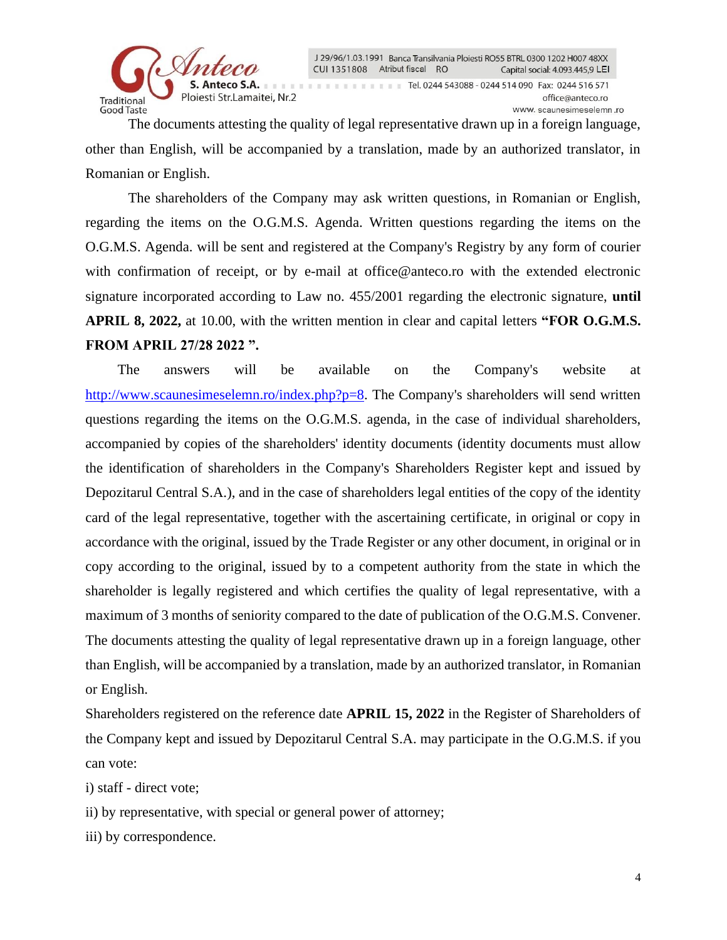

J 29/96/1.03.1991 Banca Transilvania Ploiesti RO55 BTRL 0300 1202 H007 48XX CUI 1351808 Atribut fiscal RO Capital social: 4.093.445,9 LEI Tel. 0244 543088 - 0244 514 090 Fax: 0244 516 571 office@anteco.ro www.scaunesimeselemn.ro

The documents attesting the quality of legal representative drawn up in a foreign language, other than English, will be accompanied by a translation, made by an authorized translator, in Romanian or English.

The shareholders of the Company may ask written questions, in Romanian or English, regarding the items on the O.G.M.S. Agenda. Written questions regarding the items on the O.G.M.S. Agenda. will be sent and registered at the Company's Registry by any form of courier with confirmation of receipt, or by e-mail at office@anteco.ro with the extended electronic signature incorporated according to Law no. 455/2001 regarding the electronic signature, **until APRIL 8, 2022,** at 10.00, with the written mention in clear and capital letters **"FOR O.G.M.S. FROM APRIL 27/28 2022 ".**

 The answers will be available on the Company's website at [http://www.scaunesimeselemn.ro/index.php?p=8.](http://www.scaunesimeselemn.ro/index.php?p=8) The Company's shareholders will send written questions regarding the items on the O.G.M.S. agenda, in the case of individual shareholders, accompanied by copies of the shareholders' identity documents (identity documents must allow the identification of shareholders in the Company's Shareholders Register kept and issued by Depozitarul Central S.A.), and in the case of shareholders legal entities of the copy of the identity card of the legal representative, together with the ascertaining certificate, in original or copy in accordance with the original, issued by the Trade Register or any other document, in original or in copy according to the original, issued by to a competent authority from the state in which the shareholder is legally registered and which certifies the quality of legal representative, with a maximum of 3 months of seniority compared to the date of publication of the O.G.M.S. Convener. The documents attesting the quality of legal representative drawn up in a foreign language, other than English, will be accompanied by a translation, made by an authorized translator, in Romanian or English.

Shareholders registered on the reference date **APRIL 15, 2022** in the Register of Shareholders of the Company kept and issued by Depozitarul Central S.A. may participate in the O.G.M.S. if you can vote:

i) staff - direct vote;

ii) by representative, with special or general power of attorney;

iii) by correspondence.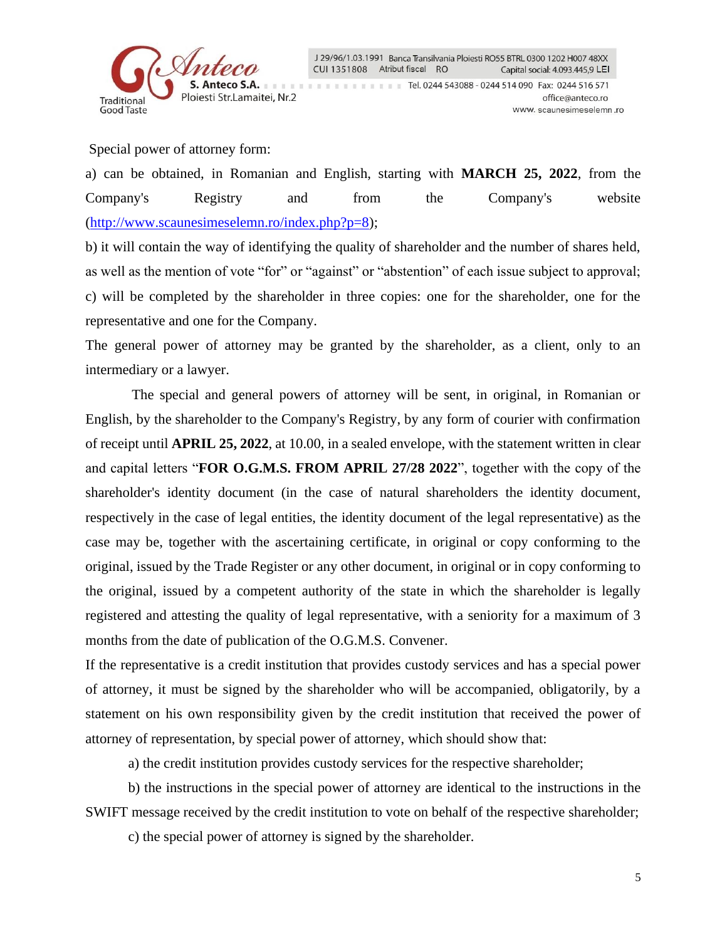

Special power of attorney form:

a) can be obtained, in Romanian and English, starting with **MARCH 25, 2022**, from the Company's Registry and from the Company's website [\(http://www.scaunesimeselemn.ro/index.php?p=8\)](http://www.scaunesimeselemn.ro/index.php?p=8);

b) it will contain the way of identifying the quality of shareholder and the number of shares held, as well as the mention of vote "for" or "against" or "abstention" of each issue subject to approval; c) will be completed by the shareholder in three copies: one for the shareholder, one for the representative and one for the Company.

The general power of attorney may be granted by the shareholder, as a client, only to an intermediary or a lawyer.

 The special and general powers of attorney will be sent, in original, in Romanian or English, by the shareholder to the Company's Registry, by any form of courier with confirmation of receipt until **APRIL 25, 2022**, at 10.00, in a sealed envelope, with the statement written in clear and capital letters "**FOR O.G.M.S. FROM APRIL 27/28 2022**", together with the copy of the shareholder's identity document (in the case of natural shareholders the identity document, respectively in the case of legal entities, the identity document of the legal representative) as the case may be, together with the ascertaining certificate, in original or copy conforming to the original, issued by the Trade Register or any other document, in original or in copy conforming to the original, issued by a competent authority of the state in which the shareholder is legally registered and attesting the quality of legal representative, with a seniority for a maximum of 3 months from the date of publication of the O.G.M.S. Convener.

If the representative is a credit institution that provides custody services and has a special power of attorney, it must be signed by the shareholder who will be accompanied, obligatorily, by a statement on his own responsibility given by the credit institution that received the power of attorney of representation, by special power of attorney, which should show that:

a) the credit institution provides custody services for the respective shareholder;

b) the instructions in the special power of attorney are identical to the instructions in the SWIFT message received by the credit institution to vote on behalf of the respective shareholder;

c) the special power of attorney is signed by the shareholder.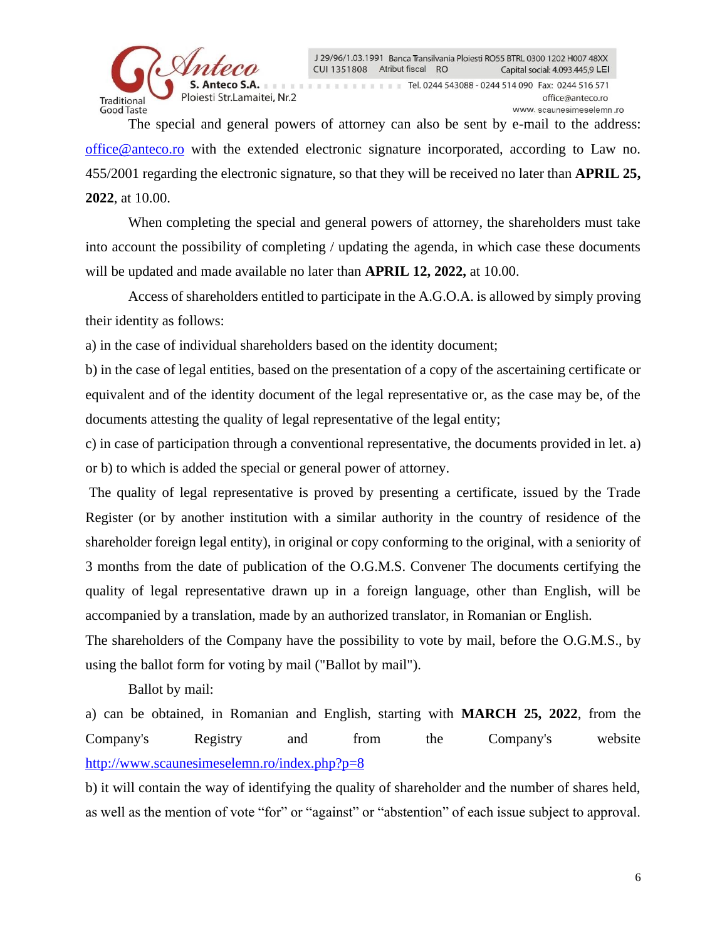

The special and general powers of attorney can also be sent by e-mail to the address: [office@anteco.ro](mailto:office@anteco.ro) with the extended electronic signature incorporated, according to Law no. 455/2001 regarding the electronic signature, so that they will be received no later than **APRIL 25, 2022**, at 10.00.

When completing the special and general powers of attorney, the shareholders must take into account the possibility of completing / updating the agenda, in which case these documents will be updated and made available no later than **APRIL 12, 2022,** at 10.00.

Access of shareholders entitled to participate in the A.G.O.A. is allowed by simply proving their identity as follows:

a) in the case of individual shareholders based on the identity document;

b) in the case of legal entities, based on the presentation of a copy of the ascertaining certificate or equivalent and of the identity document of the legal representative or, as the case may be, of the documents attesting the quality of legal representative of the legal entity;

c) in case of participation through a conventional representative, the documents provided in let. a) or b) to which is added the special or general power of attorney.

The quality of legal representative is proved by presenting a certificate, issued by the Trade Register (or by another institution with a similar authority in the country of residence of the shareholder foreign legal entity), in original or copy conforming to the original, with a seniority of 3 months from the date of publication of the O.G.M.S. Convener The documents certifying the quality of legal representative drawn up in a foreign language, other than English, will be accompanied by a translation, made by an authorized translator, in Romanian or English.

The shareholders of the Company have the possibility to vote by mail, before the O.G.M.S., by using the ballot form for voting by mail ("Ballot by mail").

Ballot by mail:

a) can be obtained, in Romanian and English, starting with **MARCH 25, 2022**, from the Company's Registry and from the Company's website <http://www.scaunesimeselemn.ro/index.php?p=8>

b) it will contain the way of identifying the quality of shareholder and the number of shares held, as well as the mention of vote "for" or "against" or "abstention" of each issue subject to approval.